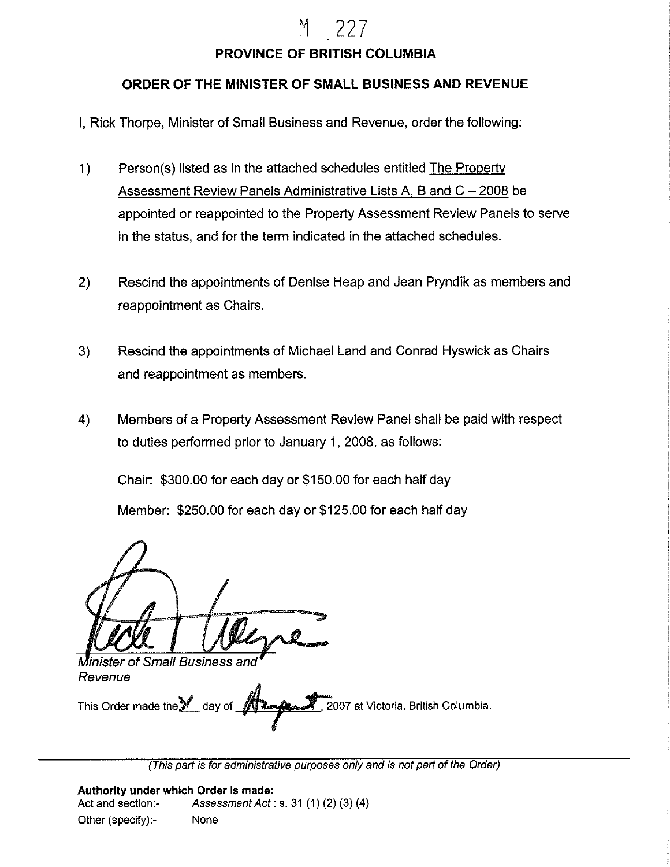# M 227

### **PROVINCE OF BRITISH COLUMBIA**

### **ORDER OF THE MINISTER OF SMALL BUSINESS AND REVENUE**

- I, Rick Thorpe, Minister of Small Business and Revenue, order the following:
- 1) Person(s) listed as in the attached schedules entitled The Property Assessment Review Panels Administrative Lists A, B and  $C - 2008$  be appointed or reappointed to the Property Assessment Review Panels to serve in the status, and for the term indicated in the attached schedules.
- 2) Rescind the appointments of Denise Heap and Jean Pryndik as members and reappointment as Chairs.
- 3) Rescind the appointments of Michael Land and Conrad Hyswick as Chairs and reappointment as members.
- 4) Members of a Property Assessment Review Panel shall be paid with respect to duties performed prior to January 1, 2008, as follows:

Chair: \$300.00 for each day or \$150.00 for each half day Member: \$250.00 for each day or \$125.00 for each half day

**Minister of Small Business and** Revenue

This Order made the day of **The All in the State of the State of State 100**7 at Victoria, British Columbia.

(This part is for administrative purposes only and is not part of the Order)

**Authority under which Order is made:**  Act and section:- Assessment Act: s. 31 (1) (2) (3) (4) Other (specify):- None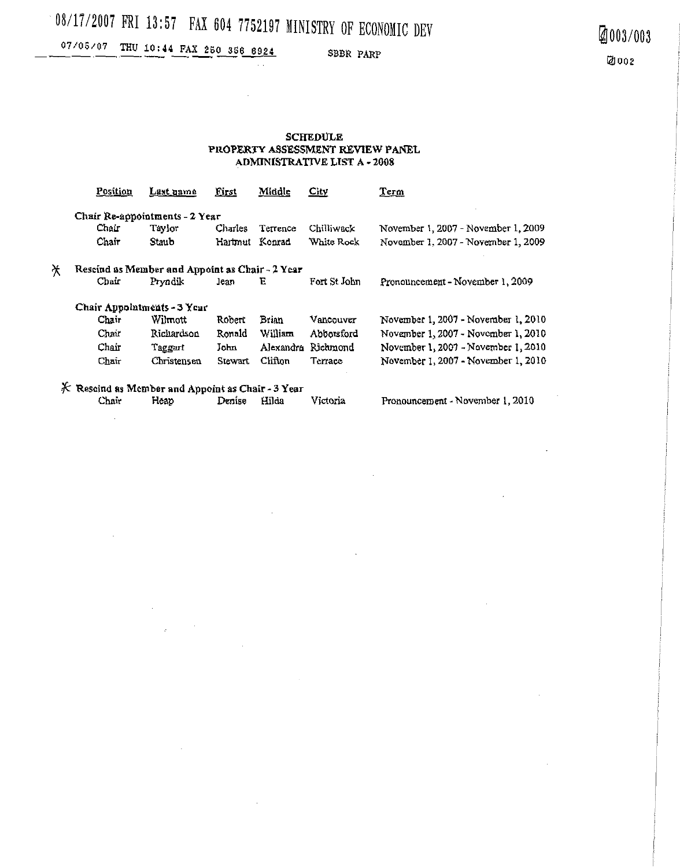# 08/17/2007 FRI 13:57 FAX 604 7752197 MINISTRY OF ECONOMIC DEV

 $\ddot{\phantom{a}}$ 

### 07/05/07 THU 10:44 FAX 250 356 6924

SBBR PARP

#### **SCHEDULE** PROPERTY ASSESSMENT REVIEW PANEL **ADMINISTRATIVE LIST A-2008**

|                                                      | Position                       | Last name   | <b>First</b>   | Middle    | City         | Term                                |  |  |  |  |
|------------------------------------------------------|--------------------------------|-------------|----------------|-----------|--------------|-------------------------------------|--|--|--|--|
|                                                      | Chair Re-appointments - 2 Year |             |                |           |              |                                     |  |  |  |  |
|                                                      | Chair                          | Taylor      | Charles        | Terrence  | Chilliwack   | November 1, 2007 - November 1, 2009 |  |  |  |  |
|                                                      | Chair                          | Staub       | Hartmut Konrad |           | White Rock   | November 1, 2007 - November 1, 2009 |  |  |  |  |
| Ӿ<br>Rescind as Member and Appoint as Chair - 2 Year |                                |             |                |           |              |                                     |  |  |  |  |
|                                                      | Chair                          | Pryndik     | Jean.          | Έ         | Fort St John | Pronouncement - November 1, 2009    |  |  |  |  |
| Chair Appointments - 3 Year                          |                                |             |                |           |              |                                     |  |  |  |  |
|                                                      | Chair                          | Wilmott     | Robert         | Brian     | Vancouver    | November 1, 2007 - November 1, 2010 |  |  |  |  |
|                                                      | Chair                          | Ricuardson  | Ronald         | William   | Abootsford   | November 1, 2007 - November 1, 2010 |  |  |  |  |
|                                                      | Chair                          | Taggart     | John           | Alexandra | Richmond     | November 1, 2007 - November 1, 2010 |  |  |  |  |
|                                                      | Chair                          | Christensen | Stewart        | Clifton   | Terrace      | November 1, 2007 - November 1, 2010 |  |  |  |  |
| $K$ Rescind as Member and Appoint as Chair - 3 Year  |                                |             |                |           |              |                                     |  |  |  |  |
|                                                      | Chair                          | Heap        | Denise         | Hilda     | Victoria     | Pronouncement - November 1, 2010    |  |  |  |  |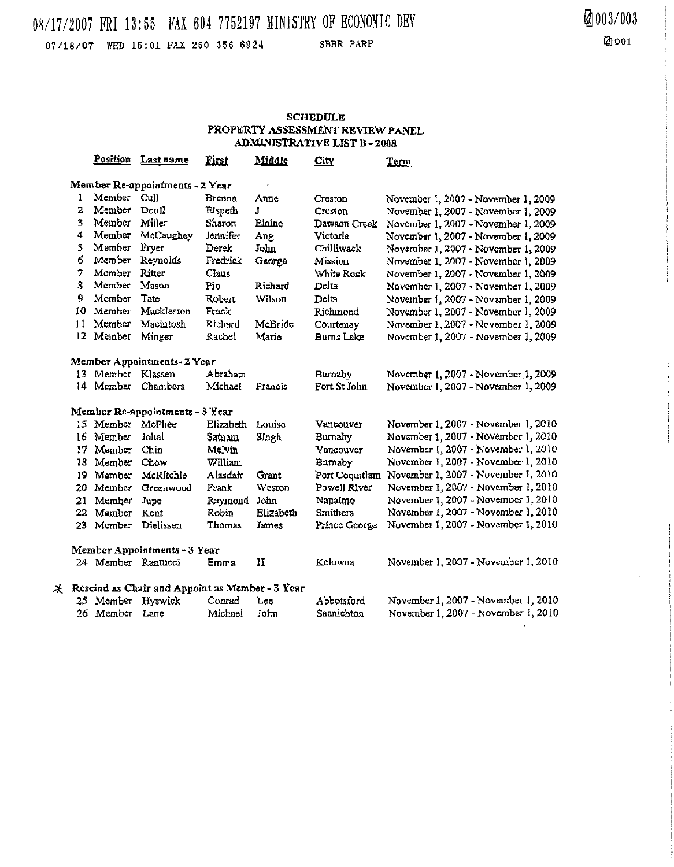## 08/17/2007 FRI 13:55 FAX 604 7752197 MINISTRY OF ECONOMIC DEV

07/18/07 WED 15:01 FAX 250 356 6924

 $\star$ 

SBBR PARP

 $\sim$   $\sim$ 

#### **SCHEDULE** PROPERTY ASSESSMENT REVIEW PANEL ADMINISTRATIVE LIST B-2008

|                                                 | <u>Position</u>    | Last name  | First     | <u>Middle</u> | City              | Term                                |  |  |  |  |
|-------------------------------------------------|--------------------|------------|-----------|---------------|-------------------|-------------------------------------|--|--|--|--|
| Member Re-appointments - 2 Year                 |                    |            |           |               |                   |                                     |  |  |  |  |
| 1                                               | Member             | Cull       | Brenna    | Anne          | Creston           | November 1, 2007 - November 1, 2009 |  |  |  |  |
| 2                                               | Member             | Doull      | Elspeth   | J             | Creston           | November 1, 2007 - November 1, 2009 |  |  |  |  |
| 3                                               | Member             | Miller     | Sharon    | Elaine        | Dawson Creek      | November 1, 2007 - November 1, 2009 |  |  |  |  |
| 4                                               | Member             | McCaughey  | Jennifer  | Ang           | Victorla          | November 1, 2007 - November 1, 2009 |  |  |  |  |
| 5                                               | Member             | Fryer      | Derek     | John          | Chilliwack        | November 1, 2007 - November 1, 2009 |  |  |  |  |
| 6                                               | Member             | Reynolds   | Fredrick  | George        | Mission           | November 1, 2007 - November 1, 2009 |  |  |  |  |
| 7                                               | Momber             | Ritter     | Claus     |               | White Rock        | November 1, 2007 - November 1, 2009 |  |  |  |  |
| 8                                               | Member             | Mason      | Pio       | Richard       | Delta             | November 1, 2007 - November 1, 2009 |  |  |  |  |
| 9                                               | Member             | Tate       | Robert    | Wilson        | Delta             | November 1, 2007 - November 1, 2009 |  |  |  |  |
| 10                                              | Member             | Mackleston | Frank     |               | Richmond          | November 1, 2007 - November 1, 2009 |  |  |  |  |
| 11                                              | Member             | Macintosh  | Richard   | McBride       | Courtenay         | November 1, 2007 - November 1, 2009 |  |  |  |  |
| 12                                              | Member             | Minger     | Rachel    | Marie         | <b>Burns Lake</b> | November 1, 2007 - November 1, 2009 |  |  |  |  |
| Member Appointments- 2 Year                     |                    |            |           |               |                   |                                     |  |  |  |  |
|                                                 | 13 Member          | Klassen    | Abraham   |               | Burnaby           | November 1, 2007 - November 1, 2009 |  |  |  |  |
| 14                                              | Member             | Chambers   | Michael   | Francis       | Fort St John      | November 1, 2007 - November 1, 2009 |  |  |  |  |
| Member Re-appointments - 3 Year                 |                    |            |           |               |                   |                                     |  |  |  |  |
|                                                 | 15 Member          | McPhee     | Elizabeth | Louise        | Vancouver         | November 1, 2007 - November 1, 2010 |  |  |  |  |
| 16                                              | Member             | Johal      | Sataam    | Singh         | Burnaby           | Navember 1, 2007 - November 1, 2010 |  |  |  |  |
| 17                                              | Member             | Chin       | Melvin    |               | Vancouver         | November 1, 2007 - November 1, 2010 |  |  |  |  |
| 18                                              | Member             | Chow       | William   |               | Bumaby            | November 1, 2007 - November 1, 2010 |  |  |  |  |
| 19                                              | Mamber             | McRitchie  | Alasdair  | Grant         | Port Coquitiant   | November 1, 2007 - November 1, 2010 |  |  |  |  |
| 20                                              | Member             | Greenwood  | Frank     | Weston        | Powell River      | November 1, 2007 - November 1, 2010 |  |  |  |  |
| 21                                              | Member             | Jupe       | Raymond   | John          | Nanaimo           | November 1, 2007 - November 1, 2010 |  |  |  |  |
| 22                                              | Member             | Kent       | Robin     | Elizabeth     | <b>Smithers</b>   | November 1, 2007 - November 1, 2010 |  |  |  |  |
|                                                 | 23 Member          | Dielissen  | Thomas    | James         | Prince George     | November 1, 2007 - November 1, 2010 |  |  |  |  |
| Member Appointments - 3 Year                    |                    |            |           |               |                   |                                     |  |  |  |  |
|                                                 | 24 Member Rantucci |            | Emma      | H             | Kelowna           | November 1, 2007 - November 1, 2010 |  |  |  |  |
| Rescind as Chair and Appoint as Member - 3 Year |                    |            |           |               |                   |                                     |  |  |  |  |
| 25.                                             | Member             | Hyswick    | Conrad    | Lee           | Abbotsford        | November 1, 2007 - November 1, 2010 |  |  |  |  |
|                                                 | 26 Member          | Lane       | Michael   | John          | Saanichton        | November 1, 2007 - November 1, 2010 |  |  |  |  |